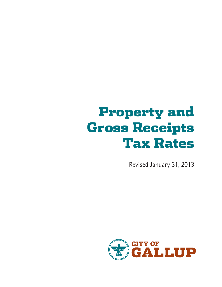# Property and Gross Receipts Tax Rates

Revised January 31, 2013

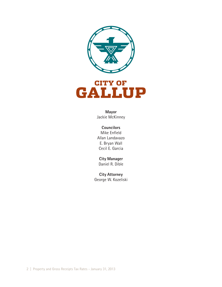



**Mayor** Jackie McKinney

#### **Councilors** Mike Enfield Allan Landavazo E. Bryan Wall Cecil E. Garcia

**City Manager** Daniel R. Dible

**City Attorney** George W. Kozeliski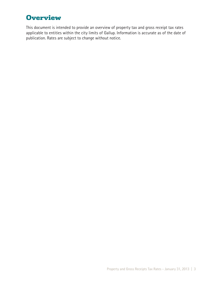## **Overview**

This document is intended to provide an overview of property tax and gross receipt tax rates applicable to entities within the city limits of Gallup. Information is accurate as of the date of publication. Rates are subject to change without notice.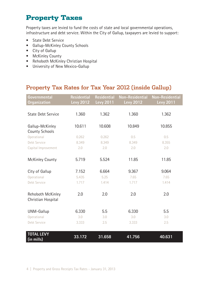## Property Taxes

Property taxes are levied to fund the costs of state and local governmental operations, infrastructure and debt service. Within the City of Gallup, taxpayers are levied to support:

- State Debt Service
- Gallup-McKinley County Schools
- City of Gallup
- McKinley County
- Rehoboth McKinley Christian Hospital
- University of New Mexico-Gallup

#### Property Tax Rates for Tax Year 2012 (inside Gallup)

| Governmental<br><b>Organization</b>      | <b>Residential</b><br><b>Levy 2012</b> | <b>Residential</b><br><b>Levy 2011</b> | <b>Non-Residential</b><br><b>Levy 2012</b> | <b>Non-Residential</b><br><b>Levy 2011</b> |
|------------------------------------------|----------------------------------------|----------------------------------------|--------------------------------------------|--------------------------------------------|
| <b>State Debt Service</b>                | 1.360                                  | 1.362                                  | 1.360                                      | 1.362                                      |
| Gallup-McKinley<br><b>County Schools</b> | 10.611                                 | 10.608                                 | 10.849                                     | 10.855                                     |
| Operational                              | 0.262                                  | 0.262                                  | 0.5                                        | 0.5                                        |
| Debt Service                             | 8.349                                  | 8.349                                  | 8.349                                      | 8.355                                      |
| Capital Improvement                      | 2.0                                    | 2.0                                    | 2.0                                        | 2.0                                        |
| <b>McKinley County</b>                   | 5.719                                  | 5.524                                  | 11.85                                      | 11.85                                      |
| City of Gallup                           | 7.152                                  | 6.664                                  | 9.367                                      | 9.064                                      |
| Operational                              | 5.435                                  | 5.25                                   | 7.65                                       | 7.65                                       |
| <b>Debt Service</b>                      | 1.717                                  | 1.414                                  | 1.717                                      | 1.414                                      |
| Rehoboth McKinley<br>Christian Hospital  | 2.0                                    | 2.0                                    | 2.0                                        | 2.0                                        |
| UNM-Gallup                               | 6.330                                  | 5.5                                    | 6.330                                      | 5.5                                        |
| Operational                              | 3.0                                    | 3.0                                    | 3.0                                        | 3.0                                        |
| Debt Service                             | 3.333                                  | 2.5                                    | 3.333                                      | 2.5                                        |
| <b>TOTAL LEVY</b><br>$(in$ mills)        | 33.172                                 | 31.658                                 | 41.756                                     | 40.631                                     |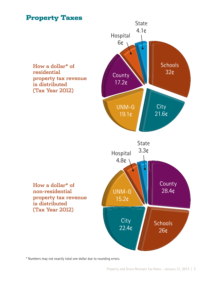## Property Taxes



\* Numbers may not exactly total one dollar due to rounding errors.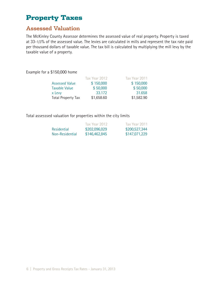## Property Taxes

#### Assessed Valuation

The McKinley County Assessor determines the assessed value of real property. Property is taxed at 33-1/3% of the assessed value. The levies are calculated in mills and represent the tax rate paid per thousand dollars of taxable value. The tax bill is calculated by multiplying the mill levy by the taxable value of a property.

Example for a \$150,000 home

|                           | Tax Year 2012 | Tax Year 2011 |
|---------------------------|---------------|---------------|
| <b>Assessed Value</b>     | \$150,000     | \$150,000     |
| <b>Taxable Value</b>      | \$50,000      | \$50,000      |
| x Levy                    | 33.172        | 31.658        |
| <b>Total Property Tax</b> | \$1,658.60    | \$1,582.90    |

Total assesssed valuation for properties within the city limits

|                 | Tax Year 2012. | Tax Year 2011 |
|-----------------|----------------|---------------|
| Residential     | \$202,096,029  | \$200,527,344 |
| Non-Residential | \$146,462,845  | \$147,071,229 |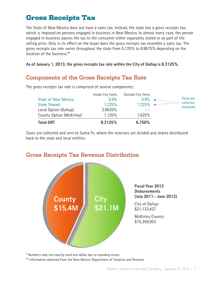The State of New Mexico does not have a sales tax. Instead, the state has a gross receipts tax, which is imposed on persons engaged in business in New Mexico. In almost every case, the person engaged in business passes the tax to the consumer either separately stated or as part of the selling price. Only in its effect on the buyer does the gross receipts tax resemble a sales tax. The gross receipts tax rate varies throughout the state from 5.125% to 8.8675% depending on the location of the business.\*\*

**As of January 1, 2013, the gross receipts tax rate within the City of Gallup is 8.3125%.**

### Components of the Gross Receipts Tax Rate

| County Option (McKinley)<br><b>Total GRT</b> | 1.125%<br>8.3125%  | 1.625%<br>6.750%    |                         |
|----------------------------------------------|--------------------|---------------------|-------------------------|
| Local Option (Gallup)                        | 2.0625%            |                     |                         |
| <b>State Shared</b>                          | 1.225%             | 1.225%              | collected<br>statewide. |
| <b>State of New Mexico</b>                   | 3.9%               | 3.9%                | These are               |
|                                              | Inside City limits | Outside City limits |                         |

The gross receipts tax rate is comprised of several components:

Taxes are collected and sent to Santa Fe, where the revenues are divided and shares distributed back to the state and local entities.



#### Gross Receipts Tax Revenue Distribution

\* Numbers may not exactly total one dollar due to rounding errors.

\*\* Information obtained from the New Mexico Department of Taxation and Revenue.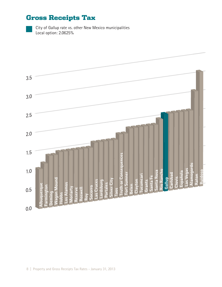

City of Gallup rate vs. other New Mexico municipalities Local option: 2.0625%

| 3.5     |                                                                                        |
|---------|----------------------------------------------------------------------------------------|
|         |                                                                                        |
|         |                                                                                        |
|         |                                                                                        |
|         |                                                                                        |
|         |                                                                                        |
| 3.0     |                                                                                        |
|         |                                                                                        |
|         |                                                                                        |
|         | p.                                                                                     |
|         |                                                                                        |
| 2.5     |                                                                                        |
|         |                                                                                        |
|         |                                                                                        |
|         | $\bar{\rm{r}}$ ).                                                                      |
|         |                                                                                        |
| 2.0     |                                                                                        |
|         |                                                                                        |
|         |                                                                                        |
|         | $\pm$ 1                                                                                |
|         |                                                                                        |
| 1.5     |                                                                                        |
|         |                                                                                        |
|         |                                                                                        |
|         |                                                                                        |
|         | $\pm$ 1                                                                                |
|         | ruth or Consequences<br>lamogordo                                                      |
| 1.0     | as Vegas<br><b>Rio Rancho</b><br>Santa Rosa<br>uidoso<br>Española                      |
|         |                                                                                        |
|         | Carlsbad<br>Fort Sumner<br>ucumcari<br>Santa Fe<br>Motor<br>Clovis<br><b>Gullieg</b>   |
|         | Grants<br>norker                                                                       |
|         | <b>Belen</b><br>Ξ                                                                      |
| 0.5     | aos                                                                                    |
|         | as Cruces<br>Silver City<br>pudsburg<br>Portales<br>ington<br>querqu<br><b>SOCOTTO</b> |
|         | Los Alamos<br>Moriarty<br>Reserve<br>Roswell<br>eming<br>Roy                           |
|         | <u>N noben</u><br><b>Hobbs</b><br><b>Jol2</b>                                          |
|         |                                                                                        |
| $0.0\,$ |                                                                                        |
|         |                                                                                        |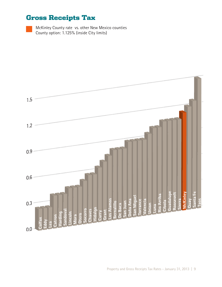McKinley County rate vs. other New Mexico counties County option: 1.125% (inside City limits)

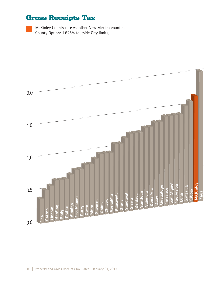McKinley County rate vs. other New Mexico counties County Option: 1.625% (outside City limits)

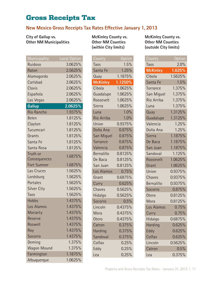#### **New Mexico Gross Receipts Tax Rates Effective January 1, 2013**

**City of Gallup vs. Other NM Municipalities**

Municipality Local Option Ruidoso 3.0625% Raton 2.5625% Alamogordo 2.0625% Carlsbad 2.0625% Clovis 2.0625% Española 2.0625% Las Vegas 2.0625% **Gallup 2.0625%** Rio Rancho 1.9375% Belen 1.8125% Clayton 1.8125% Tucumcari 1.8125% Grants 1.8125% Santa Fe 1.8125% Santa Rosa 1.8125% Truth or Consequences 1.6875% Fort Sumner 1.6875% Las Cruces 1.5625% Lordsburg 1.5625% Portales 1.5625% Silver City 1.5625% Taos 1.5625% Hobbs 1.4375% Los Alamos 1.4375% Moriarty 1.4375% Reserve 1.4375% Roswell 1.4375% Roy 1.4375% Socorro 1.4375% Deming 1.375% Wagon Mound 1.375% Farmington 1.1875% Albuquerque 1.0625%

**McKinley County vs. Other NM Counties (within City limits)**

| County            | <u>Option</u> |
|-------------------|---------------|
| Taos              | 1.5%          |
| Santa Fe          | 1.25%         |
| Quay              | 1.1875%       |
| <b>McKinley</b>   | 1.1250%       |
| Cibola            | 1.0625%       |
| Guadalupe         | 1.0625%       |
| Roosevelt         | 1.0625%       |
| Sierra            | 1.0625%       |
| Luna              | 1.0%          |
| <b>Rio Arriba</b> | 1.0%          |
| Union             | 0.9375%       |
| Doña Ana          | 0.875%        |
| San Miguel        | 0.875%        |
| <b>Torrance</b>   | 0.875%        |
| Valencia          | 0.875%        |
| <b>Bernalillo</b> | 0.8125%       |
| De Baca           | 0.8125%       |
| San Juan          | 0.8125%       |
| Los Alamos        | 0.75%         |
| Grant             | 0.6875%       |
| Curry             | 0.625%        |
| Chaves            | 0.5625%       |
| Hidalgo           | 0.5625%       |
| Socorro           | 0.5%          |
| Lincoln           | 0.4375%       |
| Mora              | 0.4375%       |
| Otero             | 0.4375%       |
| Catron            | 0.375%        |
| Harding           | 0.375%        |
| Sandoval          | 0.375%        |
| Colfax            | 0.25%         |
| Eddy              | 0.25%         |
| Lea               | 0.25%         |

**McKinley County vs. Other NM Counties (outside City limits)**

| County            | Option  |
|-------------------|---------|
| Taos              | 2.0%    |
| <b>McKinley</b>   | 1.625%  |
| Cibola            | 1.5625% |
| Santa Fe          | 1.5%    |
| Torrance          | 1.375%  |
| San Miguel        | 1.375%  |
| <b>Rio Arriba</b> | 1.375%  |
| Luna              | 1.375%  |
| Quay              | 1.3125% |
| Guadalupe         | 1.3125% |
| Valencia          | 1.25%   |
| Doña Ana          | 1.25%   |
| Sierra            | 1.1875% |
| De Baca           | 1.1875% |
| San Juan          | 1.1875% |
| Sandoval          | 1.125%  |
| Roosevelt         | 1.0625% |
| Grant             | 1.0625% |
| Union             | 0.9375% |
| Chaves            | 0.9375% |
| <b>Bernalillo</b> | 0.9375% |
| Socorro           | 0.875%  |
| <b>Otero</b>      | 0.8125% |
| Mora              | 0.8125% |
| Los Alamos        | 0.75%   |
| Curry             | 0.75%   |
| Hidalgo           | 0.6875% |
| Harding           | 0.625%  |
| Eddy              | 0.625%  |
| Colfax            | 0.625%  |
| Lincoln           | 0.5625% |
| Catron            | 0.5%    |
| Lea               | 0.375%  |